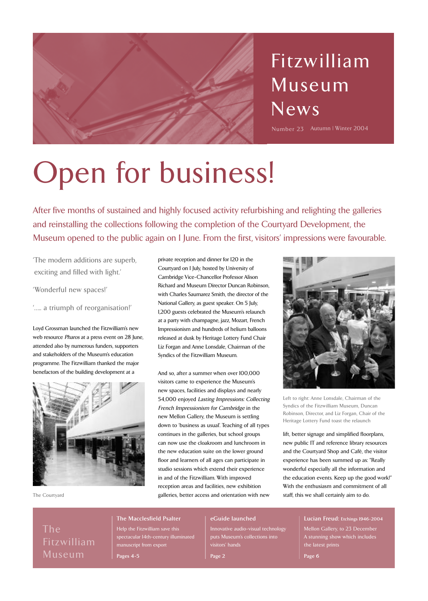

# Fitzwilliam Museum News

Number 23 Autumn | Winter 2004

# Open for business!

After five months of sustained and highly focused activity refurbishing and relighting the galleries and reinstalling the collections following the completion of the Courtyard Development, the Museum opened to the public again on 1 June. From the first, visitors' impressions were favourable.

'The modern additions are superb, exciting and filled with light.'

'Wonderful new spaces!'

'….. a triumph of reorganisation!'

Loyd Grossman launched the Fitzwilliam's new web resource Pharos at a press event on 28 June, attended also by numerous funders, supporters and stakeholders of the Museum's education programme. The Fitzwilliam thanked the major benefactors of the building development at a



The Courtyard

private reception and dinner for 120 in the Courtyard on 1 July, hosted by University of Cambridge Vice-Chancellor Professor Alison Richard and Museum Director Duncan Robinson, with Charles Saumarez Smith, the director of the National Gallery, as guest speaker. On 5 July, 1,200 guests celebrated the Museum's relaunch at a party with champagne, jazz, Mozart, French Impressionism and hundreds of helium balloons released at dusk by Heritage Lottery Fund Chair Liz Forgan and Anne Lonsdale, Chairman of the Syndics of the Fitzwilliam Museum.

And so, after a summer when over 100,000 visitors came to experience the Museum's new spaces, facilities and displays and nearly 54,000 enjoyed Lasting Impressions: Collecting French Impressionism for Cambridge in the new Mellon Gallery, the Museum is settling down to 'business as usual'. Teaching of all types continues in the galleries, but school groups can now use the cloakroom and lunchroom in the new education suite on the lower ground floor and learners of all ages can participate in studio sessions which extend their experience in and of the Fitzwilliam. With improved reception areas and facilities, new exhibition galleries, better access and orientation with new



Left to right: Anne Lonsdale, Chairman of the Syndics of the Fitzwilliam Museum, Duncan Robinson, Director, and Liz Forgan, Chair of the Heritage Lottery Fund toast the relaunch

lift, better signage and simplified floorplans, new public IT and reference library resources and the Courtyard Shop and Café, the visitor experience has been summed up as: "Really wonderful especially all the information and the education events. Keep up the good work!" With the enthusiasm and commitment of all staff, this we shall certainly aim to do.

The Fitzwilliam Museum

#### **The Macclesfield Psalter**

Help the Fitzwilliam save this spectacular 14th-century illuminated manuscript from export **Pages 4-5**

#### **eGuide launched**

Innovative audio-visual technology puts Museum's collections into visitors' hands

**Page 2**

**Lucian Freud: Etchings 1946-2004** Mellon Gallery, to 23 December A stunning show which includes the latest prints

**Page 6**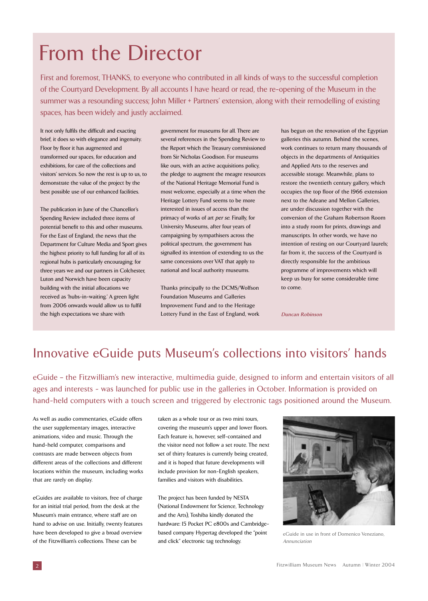# From the Director

First and foremost, THANKS, to everyone who contributed in all kinds of ways to the successful completion of the Courtyard Development. By all accounts I have heard or read, the re-opening of the Museum in the summer was a resounding success; John Miller + Partners' extension, along with their remodelling of existing spaces, has been widely and justly acclaimed.

It not only fulfils the difficult and exacting brief, it does so with elegance and ingenuity. Floor by floor it has augmented and transformed our spaces, for education and exhibitions, for care of the collections and visitors' services. So now the rest is up to us, to demonstrate the value of the project by the best possible use of our enhanced facilities.

The publication in June of the Chancellor's Spending Review included three items of potential benefit to this and other museums. For the East of England, the news that the Department for Culture Media and Sport gives the highest priority to full funding for all of its regional hubs is particularly encouraging; for three years we and our partners in Colchester, Luton and Norwich have been capacity building with the initial allocations we received as 'hubs-in-waiting.' A green light from 2006 onwards would allow us to fulfil the high expectations we share with

government for museums for all. There are several references in the Spending Review to the Report which the Treasury commissioned from Sir Nicholas Goodison. For museums like ours, with an active acquisitions policy, the pledge to augment the meagre resources of the National Heritage Memorial Fund is most welcome, especially at a time when the Heritage Lottery Fund seems to be more interested in issues of access than the primacy of works of art per se. Finally, for University Museums, after four years of campaigning by sympathisers across the political spectrum, the government has signalled its intention of extending to us the same concessions over VAT that apply to national and local authority museums.

Thanks principally to the DCMS/Wolfson Foundation Museums and Galleries Improvement Fund and to the Heritage Lottery Fund in the East of England, work has begun on the renovation of the Egyptian galleries this autumn. Behind the scenes, work continues to return many thousands of objects in the departments of Antiquities and Applied Arts to the reserves and accessible storage. Meanwhile, plans to restore the twentieth century gallery, which occupies the top floor of the 1966 extension next to the Adeane and Mellon Galleries, are under discussion together with the conversion of the Graham Robertson Room into a study room for prints, drawings and manuscripts. In other words, we have no intention of resting on our Courtyard laurels; far from it, the success of the Courtyard is directly responsible for the ambitious programme of improvements which will keep us busy for some considerable time to come.

**Duncan Robinson**

### Innovative eGuide puts Museum 's collections into visitors' hands

eGuide – the Fitzwilliam's new interactive, multimedia guide, designed to inform and entertain visitors of all ages and interests - was launched for public use in the galleries in October. Information is provided on hand-held computers with a touch screen and triggered by electronic tags positioned around the Museum.

As well as audio commentaries, eGuide offers the user supplementary images, interactive animations, video and music. Through the hand-held computer, comparisons and contrasts are made between objects from different areas of the collections and different locations within the museum, including works that are rarely on display.

eGuides are available to visitors, free of charge for an initial trial period, from the desk at the Museum's main entrance, where staff are on hand to advise on use. Initially, twenty features have been developed to give a broad overview of the Fitzwilliam's collections. These can be

taken as a whole tour or as two mini tours, covering the museum's upper and lower floors. Each feature is, however, self-contained and the visitor need not follow a set route. The next set of thirty features is currently being created, and it is hoped that future developments will include provision for non-English speakers, families and visitors with disabilities.

The project has been funded by NESTA (National Endowment for Science, Technology and the Arts), Toshiba kindly donated the hardware: 15 Pocket PC e800s and Cambridgebased company Hypertag developed the "point and click" electronic tag technology.



eGuide in use in front of Domenico Veneziano, Annunciation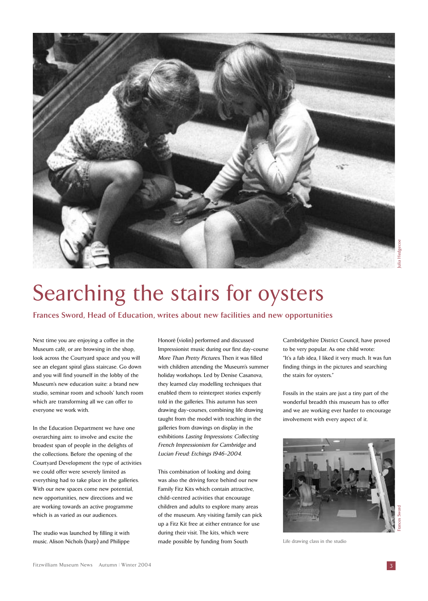

# Searching the stairs for oysters

**Frances Sword, Head of Education, writes about new facilities and new opportunities**

Next time you are enjoying a coffee in the Museum café, or are browsing in the shop, look across the Courtyard space and you will see an elegant spiral glass staircase. Go down and you will find yourself in the lobby of the Museum's new education suite: a brand new studio, seminar room and schools' lunch room which are transforming all we can offer to everyone we work with.

In the Education Department we have one overarching aim: to involve and excite the broadest span of people in the delights of the collections. Before the opening of the Courtyard Development the type of activities we could offer were severely limited as everything had to take place in the galleries. With our new spaces come new potential, new opportunities, new directions and we are working towards an active programme which is as varied as our audiences.

The studio was launched by filling it with music. Alison Nichols (harp) and Philippe

Honoré (violin) performed and discussed Impressionist music during our first day-course More Than Pretty Pictures. Then it was filled with children attending the Museum's summer holiday workshops. Led by Denise Casanova, they learned clay modelling techniques that enabled them to reinterpret stories expertly told in the galleries. This autumn has seen drawing day-courses, combining life drawing taught from the model with teaching in the galleries from drawings on display in the exhibitions Lasting Impressions: Collecting French Impressionism for Cambridge and Lucian Freud: Etchings 1946-2004.

This combination of looking and doing was also the driving force behind our new Family Fitz Kits which contain attractive, child-centred activities that encourage children and adults to explore many areas of the museum. Any visiting family can pick up a Fitz Kit free at either entrance for use during their visit. The kits, which were made possible by funding from South

Cambridgehire District Council, have proved to be very popular. As one child wrote: "It's a fab idea, I liked it very much. It was fun finding things in the pictures and searching the stairs for oysters."

Fossils in the stairs are just a tiny part of the wonderful breadth this museum has to offer and we are working ever harder to encourage involvement with every aspect of it.



Life drawing class in the studio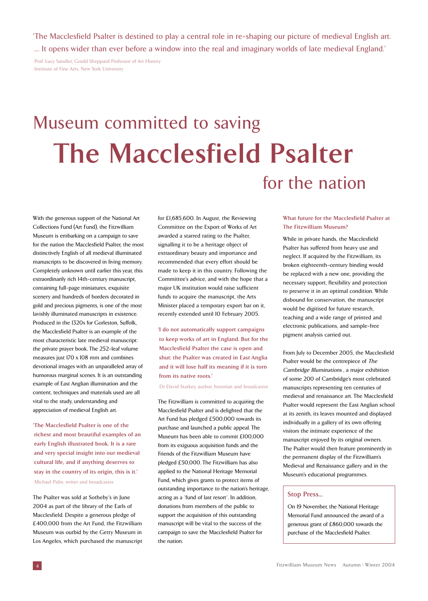'The Macclesfield Psalter is destined to play a central role in re-shaping our picture of medieval English art. … It opens wider than ever before a window into the real and imaginary worlds of late medieval England.'

Prof. Lucy Sandler, Gould Sheppard Professor of Art History Institute of Fine Arts, New York University

# Museum committed to saving **The Macclesfield Psalter** for the nation

With the generous support of the National Art Collections Fund (Art Fund), the Fitzwilliam Museum is embarking on a campaign to save for the nation the Macclesfield Psalter, the most distinctively English of all medieval illuminated manuscripts to be discovered in living memory. Completely unknown until earlier this year, this extraordinarily rich 14th-century manuscript, containing full-page miniatures, exquisite scenery and hundreds of borders decorated in gold and precious pigments, is one of the most lavishly illuminated manuscripts in existence. Produced in the 1320s for Gorleston, Suffolk, the Macclesfield Psalter is an example of the most characteristic late medieval manuscript: the private prayer book. The 252-leaf volume measures just 170 x 108 mm and combines devotional images with an unparalleled array of humorous marginal scenes. It is an outstanding example of East Anglian illumination and the content, techniques and materials used are all vital to the study, understanding and appreciation of medieval English art.

**'The Macclesfield Psalter is one of the richest and most beautiful examples of an early English illustrated book. It is a rare and very special insight into our medieval cultural life, and if anything deserves to stay in the country of its origin, this is it.'** Michael Palin, writer and broadcaster

The Psalter was sold at Sotheby's in June 2004 as part of the library of the Earls of Macclesfield. Despite a generous pledge of £400,000 from the Art Fund, the Fitzwilliam Museum was outbid by the Getty Museum in Los Angeles, which purchased the manuscript for £1,685,600. In August, the Reviewing Committee on the Export of Works of Art awarded a starred rating to the Psalter, signalling it to be a heritage object of extraordinary beauty and importance and recommended that every effort should be made to keep it in this country. Following the Committee's advice, and with the hope that a major UK institution would raise sufficient funds to acquire the manuscript, the Arts Minister placed a temporary export bar on it, recently extended until 10 February 2005.

**'I do not automatically support campaigns to keep works of art in England. But for the Macclesfield Psalter the case is open and shut: the Psalter was created in East Anglia and it will lose half its meaning if it is torn from its native roots.'**

Dr David Starkey, author, historian and broadcaster

The Fitzwilliam is committed to acquiring the Macclesfield Psalter and is delighted that the Art Fund has pledged £500,000 towards its purchase and launched a public appeal. The Museum has been able to commit £100,000 from its exiguous acquisition funds and the Friends of the Fitzwilliam Museum have pledged £50,000. The Fitzwilliam has also applied to the National Heritage Memorial Fund, which gives grants to protect items of outstanding importance to the nation's heritage, acting as a `fund of last resort`. In addition, donations from members of the public to support the acquisition of this outstanding manuscript will be vital to the success of the campaign to save the Macclesfield Psalter for the nation.

#### **What future for the Macclesfield Psalter at The Fitzwilliam Museum?**

While in private hands, the Macclesfield Psalter has suffered from heavy use and neglect. If acquired by the Fitzwilliam, its broken eighteenth-century binding would be replaced with a new one, providing the necessary support, flexibility and protection to preserve it in an optimal condition. While disbound for conservation, the manuscript would be digitised for future research, teaching and a wide range of printed and electronic publications, and sample-free pigment analysis carried out.

From July to December 2005, the Macclesfield Psalter would be the centrepiece of The Cambridge Illuminations , a major exhibition of some 200 of Cambridge's most celebrated manuscripts representing ten centuries of medieval and renaissance art. The Macclesfield Psalter would represent the East Anglian school at its zenith, its leaves mounted and displayed individually in a gallery of its own offering visitors the intimate experience of the manuscript enjoyed by its original owners. The Psalter would then feature prominently in the permanent display of the Fitzwilliam's Medieval and Renaissance gallery and in the Museum's educational programmes.

#### **Stop Press...**

On 19 November, the National Heritage Memorial Fund announced the award of a generous grant of £860,000 towards the purchase of the Macclesfield Psalter.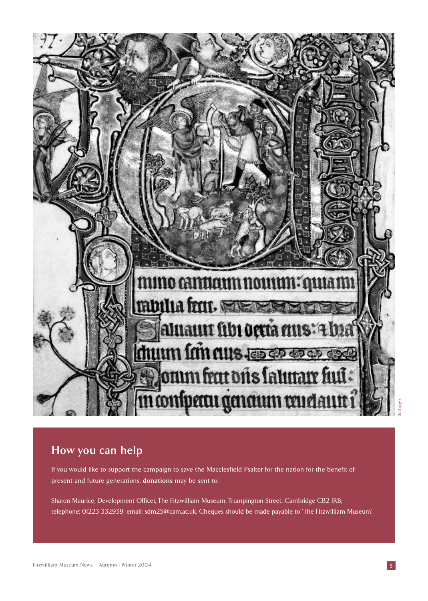

### **How you can help**

If you would like to support the campaign to save the Macclesfield Psalter for the nation for the benefit of present and future generations, **donations** may be sent to:

Sharon Maurice, Development Officer, The Fitzwilliam Museum, Trumpington Street, Cambridge CB2 1RB; telephone: 01223 332939; email: sdm25@cam.ac.uk. Cheques should be made payable to 'The Fitzwilliam Museum'.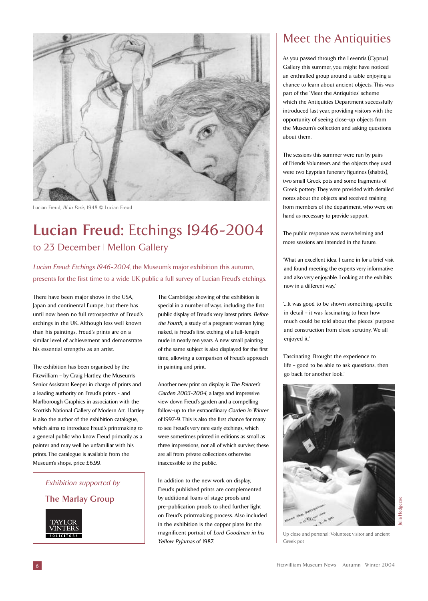

Lucian Freud, III in Paris, 1948 © Lucian Freud

### **Lucian Freud:** Etchings 1946-2004 to 23 December | Mellon Gallery

Lucian Freud: Etchings 1946-2004, the Museum's major exhibition this autumn, presents for the first time to a wide UK public a full survey of Lucian Freud's etchings.

There have been major shows in the USA, Japan and continental Europe, but there has until now been no full retrospective of Freud's etchings in the UK. Although less well known than his paintings, Freud's prints are on a similar level of achievement and demonstrate his essential strengths as an artist.

The exhibition has been organised by the Fitzwilliam – by Craig Hartley, the Museum's Senior Assistant Keeper in charge of prints and a leading authority on Freud's prints - and Marlborough Graphics in association with the Scottish National Gallery of Modern Art. Hartley is also the author of the exhibition catalogue, which aims to introduce Freud's printmaking to a general public who know Freud primarily as a painter and may well be unfamiliar with his prints. The catalogue is available from the Museum's shops, price £6.99.

Exhibition supported by **The Marlay Group**



The Cambridge showing of the exhibition is special in a number of ways, including the first public display of Freud's very latest prints. Before the Fourth, a study of a pregnant woman lying naked, is Freud's first etching of a full-length nude in nearly ten years. A new small painting of the same subject is also displayed for the first time, allowing a comparison of Freud's approach in painting and print.

Another new print on display is The Painter's Garden 2003-2004, a large and impressive view down Freud's garden and a compelling follow-up to the extraordinary Garden in Winter of 1997-9. This is also the first chance for many to see Freud's very rare early etchings, which were sometimes printed in editions as small as three impressions, not all of which survive; these are all from private collections otherwise inaccessible to the public.

In addition to the new work on display, Freud's published prints are complemented by additional loans of stage proofs and pre-publication proofs to shed further light on Freud's printmaking process. Also included in the exhibition is the copper plate for the magnificent portrait of Lord Goodman in his Yellow Pyjamas of 1987.

### Meet the Antiquities

As you passed through the Leventis (Cyprus) Gallery this summer, you might have noticed an enthralled group around a table enjoying a chance to learn about ancient objects. This was part of the 'Meet the Antiquities' scheme which the Antiquities Department successfully introduced last year, providing visitors with the opportunity of seeing close-up objects from the Museum's collection and asking questions about them.

The sessions this summer were run by pairs of Friends Volunteers and the objects they used were two Egyptian funerary figurines (shabtis), two small Greek pots and some fragments of Greek pottery. They were provided with detailed notes about the objects and received training from members of the department, who were on hand as necessary to provide support.

The public response was overwhelming and more sessions are intended in the future.

'What an excellent idea. I came in for a brief visit and found meeting the experts very informative and also very enjoyable. Looking at the exhibits now in a different way.'

'…It was good to be shown something specific in detail – it was fascinating to hear how much could be told about the pieces' purpose and construction from close scrutiny. We all enjoyed it.'

'Fascinating. Brought the experience to life – good to be able to ask questions, then go back for another look.'



Up close and personal: Volunteer, visitor and ancient Greek pot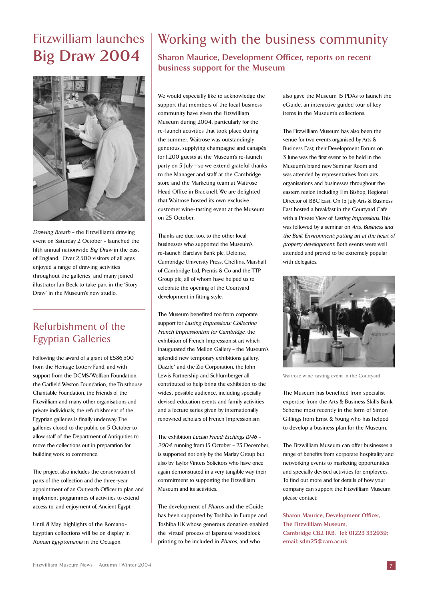### Fitzwilliam launches **Big Draw 2004**



Drawing Breath – the Fitzwilliam's drawing event on Saturday 2 October – launched the fifth annual nationwide Big Draw in the east of England. Over 2,500 visitors of all ages enjoyed a range of drawing activities throughout the galleries, and many joined illustrator Ian Beck to take part in the 'Story Draw' in the Museum's new studio.

#### Refurbishment of the Egyptian Galleries

Following the award of a grant of £586,500 from the Heritage Lottery Fund, and with support from the DCMS/Wolfson Foundation, the Garfield Weston Foundation, the Trusthouse Charitable Foundation, the Friends of the Fitzwilliam and many other organisations and private individuals, the refurbishment of the Egyptian galleries is finally underway. The galleries closed to the public on 5 October to allow staff of the Department of Antiquities to move the collections out in preparation for building work to commence.

The project also includes the conservation of parts of the collection and the three-year appointment of an Outreach Officer to plan and implement programmes of activities to extend access to, and enjoyment of, Ancient Egypt.

Until 8 May, highlights of the Romano-Egyptian collections will be on display in Roman Egyptomania in the Octagon.

### Working with the business community

**Sharon Maurice, Development Officer, reports on recent business support for the Museum**

We would especially like to acknowledge the support that members of the local business community have given the Fitzwilliam Museum during 2004, particularly for the re-launch activities that took place during the summer. Waitrose was outstandingly generous, supplying champagne and canapés for 1,200 guests at the Museum's re-launch party on 5 July – so we extend grateful thanks to the Manager and staff at the Cambridge store and the Marketing team at Waitrose Head Office in Bracknell. We are delighted that Waitrose hosted its own exclusive customer wine-tasting event at the Museum on 25 October.

Thanks are due, too, to the other local businesses who supported the Museum's re-launch: Barclays Bank plc, Deloitte, Cambridge University Press, Cheffins, Marshall of Cambridge Ltd, Prentis & Co and the TTP Group plc, all of whom have helped us to celebrate the opening of the Courtyard development in fitting style.

The Museum benefited too from corporate support for Lasting Impressions: Collecting French Impressionism for Cambridge, the exhibition of French Impressionist art which inaugurated the Mellon Gallery – the Museum's splendid new temporary exhibitions gallery. Dazzle\* and the Zio Corporation, the John Lewis Partnership and Schlumberger all contributed to help bring the exhibition to the widest possible audience, including specially devised education events and family activities and a lecture series given by internationally renowned scholars of French Impressionism.

The exhibition Lucian Freud: Etchings 1946 – 2004, running from 15 October – 23 December, is supported not only by the Marlay Group but also by Taylor Vinters Solicitors who have once again demonstrated in a very tangible way their commitment to supporting the Fitzwilliam Museum and its activities.

The development of Pharos and the eGuide has been supported by Toshiba in Europe and Toshiba UK whose generous donation enabled the 'virtual' process of Japanese woodblock printing to be included in Pharos, and who

also gave the Museum 15 PDAs to launch the eGuide, an interactive guided tour of key items in the Museum's collections.

The Fitzwilliam Museum has also been the venue for two events organised by Arts & Business East; their Development Forum on 3 June was the first event to be held in the Museum's brand new Seminar Room and was attended by representatives from arts organisations and businesses throughout the eastern region including Tim Bishop, Regional Director of BBC East. On 15 July Arts & Business East hosted a breakfast in the Courtyard Café with a Private View of Lasting Impressions. This was followed by a seminar on Arts, Business and the Built Environment: putting art at the heart of property development. Both events were well attended and proved to be extremely popular with delegates.



Waitrose wine-tasting event in the Courtyard

The Museum has benefited from specialist expertise from the Arts & Business Skills Bank Scheme most recently in the form of Simon Gillings from Ernst & Young who has helped to develop a business plan for the Museum.

The Fitzwilliam Museum can offer businesses a range of benefits from corporate hospitality and networking events to marketing opportunities and specially devised activities for employees. To find out more and for details of how your company can support the Fitzwilliam Museum please contact:

**Sharon Maurice, Development Officer, The Fitzwilliam Museum, Cambridge CB2 1RB. Tel: 01223 332939; email: sdm25@cam.ac.uk**